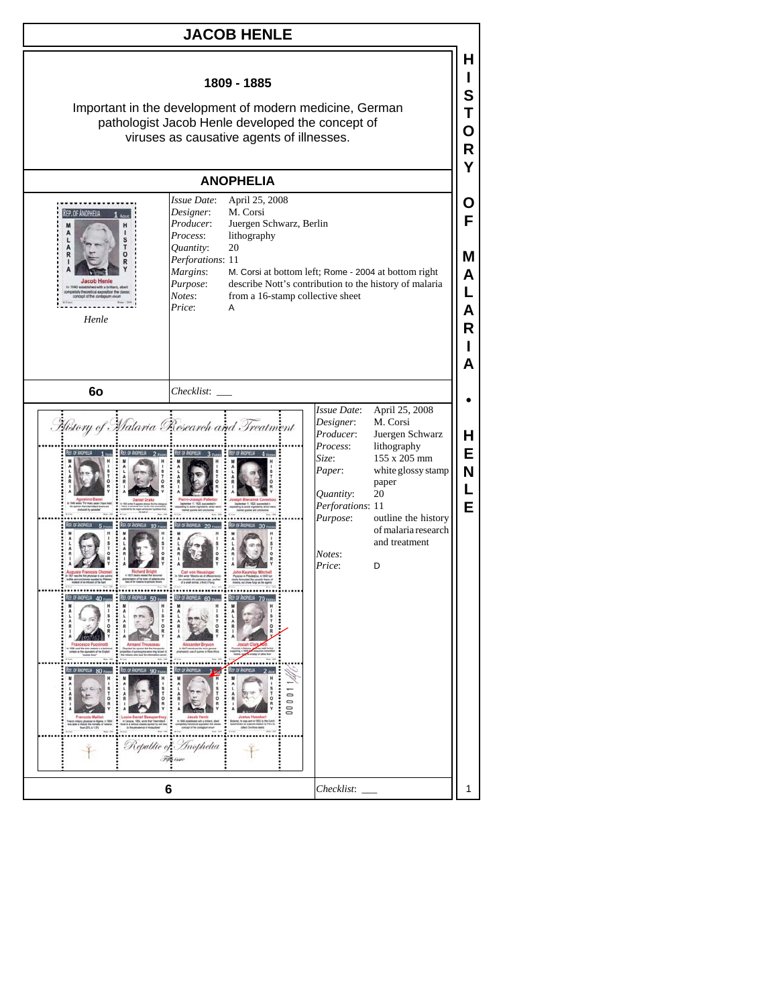